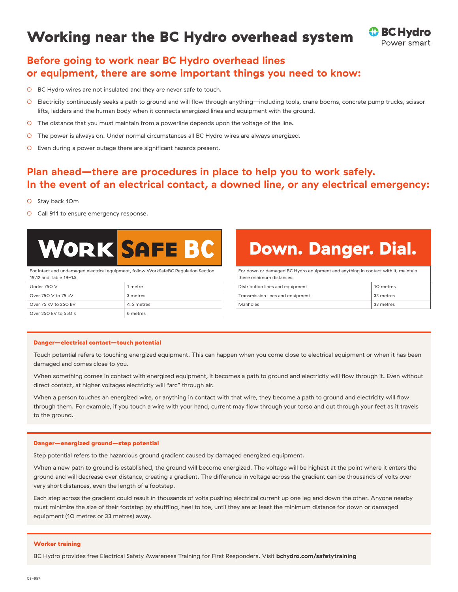## Working near the BC Hydro overhead system



## **Before going to work near BC Hydro overhead lines or equipment, there are some important things you need to know:**

- BC Hydro wires are not insulated and they are never safe to touch.
- Electricity continuously seeks a path to ground and will flow through anything—including tools, crane booms, concrete pump trucks, scissor lifts, ladders and the human body when it connects energized lines and equipment with the ground.
- The distance that you must maintain from a powerline depends upon the voltage of the line.
- The power is always on. Under normal circumstances all BC Hydro wires are always energized.
- Even during a power outage there are significant hazards present.

### **Plan ahead—there are procedures in place to help you to work safely. In the event of an electrical contact, a downed line, or any electrical emergency:**

- Stay back 10m
- O Call 911 to ensure emergency response.

# **WORK SAFE BC**

For intact and undamaged electrical equipment, follow WorkSafeBC Regulation Section 19.12 and Table 19-1A

| Under 750 V          | 1 metre    |
|----------------------|------------|
| Over 750 V to 75 kV  | 3 metres   |
| Over 75 kV to 250 kV | 4.5 metres |
| Over 250 kV to 550 k | 6 metres   |

## Down. Danger. Dial.

For down or damaged BC Hydro equipment and anything in contact with it, maintain these minimum distances: Distribution lines and equipment 10 metres Transmission lines and equipment 33 metres

Manholes 33 metres

#### Danger—electrical contact—touch potential

Touch potential refers to touching energized equipment. This can happen when you come close to electrical equipment or when it has been damaged and comes close to you.

When something comes in contact with energized equipment, it becomes a path to ground and electricity will flow through it. Even without direct contact, at higher voltages electricity will "arc" through air.

When a person touches an energized wire, or anything in contact with that wire, they become a path to ground and electricity will flow through them. For example, if you touch a wire with your hand, current may flow through your torso and out through your feet as it travels to the ground.

#### Danger—energized ground—step potential

Step potential refers to the hazardous ground gradient caused by damaged energized equipment.

When a new path to ground is established, the ground will become energized. The voltage will be highest at the point where it enters the ground and will decrease over distance, creating a gradient. The difference in voltage across the gradient can be thousands of volts over very short distances, even the length of a footstep.

Each step across the gradient could result in thousands of volts pushing electrical current up one leg and down the other. Anyone nearby must minimize the size of their footstep by shuffling, heel to toe, until they are at least the minimum distance for down or damaged equipment (10 metres or 33 metres) away.

#### Worker training

BC Hydro provides free Electrical Safety Awareness Training for First Responders. Visit **bchydro.com/safetytraining**